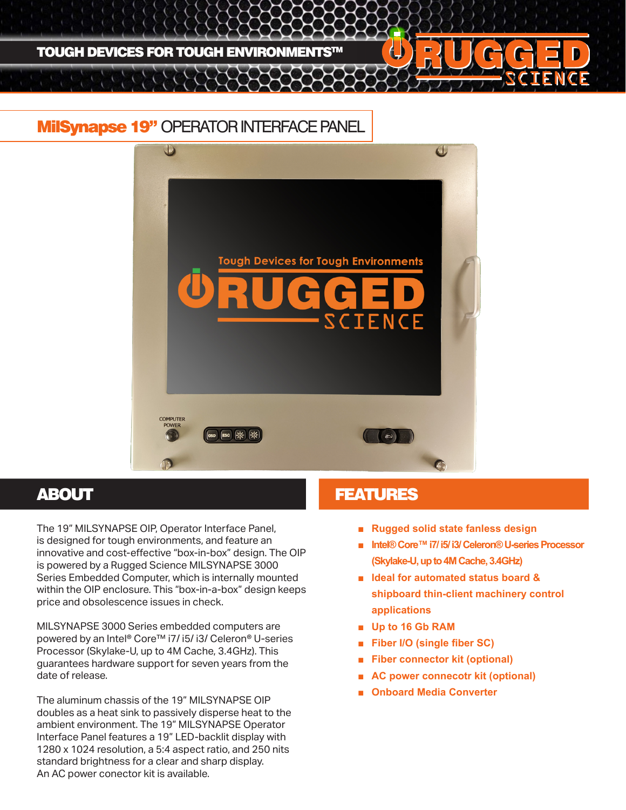

## MilSynapse 19" OPERATOR INTERFACE PANEL



The 19" MILSYNAPSE OIP, Operator Interface Panel, is designed for tough environments, and feature an innovative and cost-effective "box-in-box" design. The OIP is powered by a Rugged Science MILSYNAPSE 3000 Series Embedded Computer, which is internally mounted within the OIP enclosure. This "box-in-a-box" design keeps price and obsolescence issues in check.

MILSYNAPSE 3000 Series embedded computers are powered by an Intel® Core™ i7/ i5/ i3/ Celeron® U-series Processor (Skylake-U, up to 4M Cache, 3.4GHz). This guarantees hardware support for seven years from the date of release.

The aluminum chassis of the 19" MILSYNAPSE OIP doubles as a heat sink to passively disperse heat to the ambient environment. The 19" MILSYNAPSE Operator Interface Panel features a 19" LED-backlit display with 1280 x 1024 resolution, a 5:4 aspect ratio, and 250 nits standard brightness for a clear and sharp display. An AC power conector kit is available.

### **ABOUT AREA EXECUTED ABOUT ABOUT ABOUT A LIMIT AND LIMIT ASSAULT**

- **Rugged solid state fanless design**
- **Intel® Core™ i7/ i5/ i3/ Celeron® U-series Processor (Skylake-U, up to 4M Cache, 3.4GHz)**
- **Ideal for automated status board & shipboard thin-client machinery control applications**
- **Up to 16 Gb RAM**
- **Fiber I/O (single fiber SC)**
- **Fiber connector kit (optional)**
- **AC power connecotr kit (optional)**
- **Onboard Media Converter**